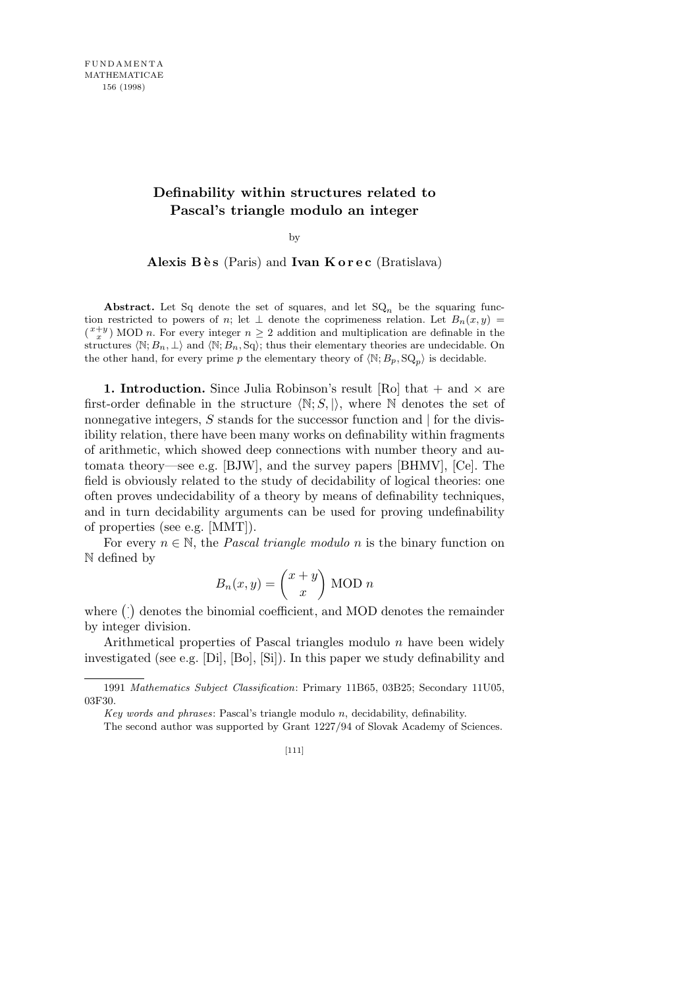## **Definability within structures related to Pascal's triangle modulo an integer**

by

Alexis Bès (Paris) and **Ivan Korec** (Bratislava)

Abstract. Let Sq denote the set of squares, and let  $SQ_n$  be the squaring function restricted to powers of *n*; let  $\perp$  denote the coprimeness relation. Let  $B_n(x, y)$  $\binom{x+y}{x}$  MOD *n*. For every integer  $n \geq 2$  addition and multiplication are definable in the structures  $\langle \mathbb{N}; B_n, \perp \rangle$  and  $\langle \mathbb{N}; B_n, \text{Sq} \rangle$ ; thus their elementary theories are undecidable. On the other hand, for every prime *p* the elementary theory of  $\langle \mathbb{N}, B_p, \mathbb{SQ}_p \rangle$  is decidable.

**1. Introduction.** Since Julia Robinson's result [Ro] that + and *×* are first-order definable in the structure  $\langle \mathbb{N}; S, \rangle$ , where  $\mathbb N$  denotes the set of nonnegative integers, *S* stands for the successor function and *|* for the divisibility relation, there have been many works on definability within fragments of arithmetic, which showed deep connections with number theory and automata theory—see e.g. [BJW], and the survey papers [BHMV], [Ce]. The field is obviously related to the study of decidability of logical theories: one often proves undecidability of a theory by means of definability techniques, and in turn decidability arguments can be used for proving undefinability of properties (see e.g. [MMT]).

For every  $n \in \mathbb{N}$ , the *Pascal triangle modulo n* is the binary function on N defined by  $\mathbf{r}$ 

$$
B_n(x,y) = \binom{x+y}{x}
$$
 MOD *n*

where ( *·*  $\mathbf{r}$ denotes the binomial coefficient, and MOD denotes the remainder by integer division.

Arithmetical properties of Pascal triangles modulo *n* have been widely investigated (see e.g. [Di], [Bo], [Si]). In this paper we study definability and

<sup>1991</sup> *Mathematics Subject Classification*: Primary 11B65, 03B25; Secondary 11U05, 03F30.

*Key words and phrases*: Pascal's triangle modulo *n*, decidability, definability.

The second author was supported by Grant 1227/94 of Slovak Academy of Sciences.

<sup>[111]</sup>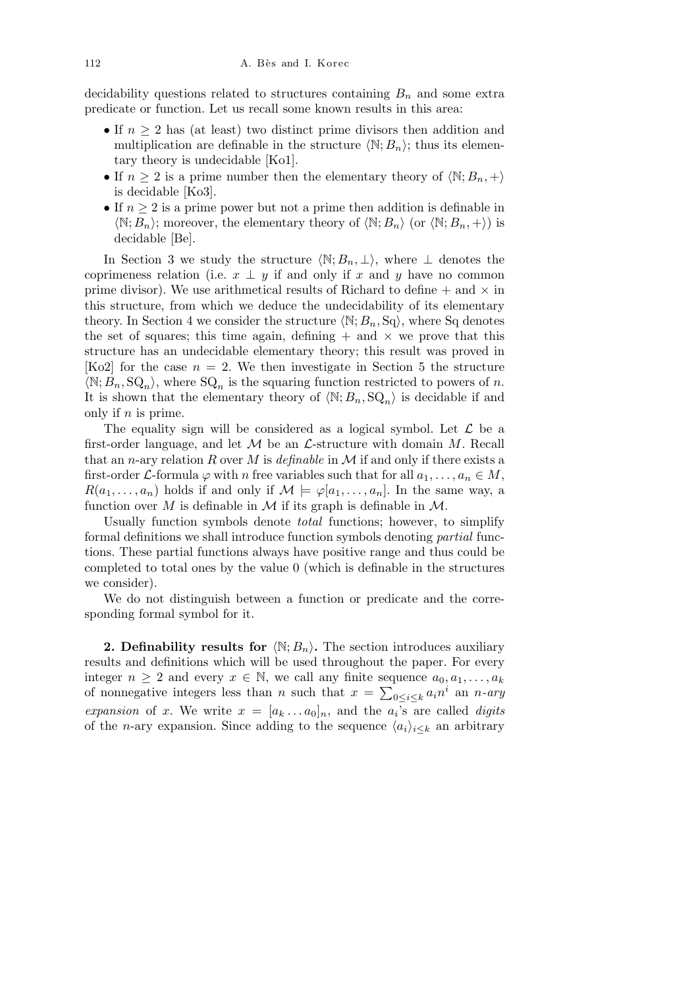decidability questions related to structures containing  $B_n$  and some extra predicate or function. Let us recall some known results in this area:

- *•* If *n ≥* 2 has (at least) two distinct prime divisors then addition and multiplication are definable in the structure  $\langle \mathbb{N}; B_n \rangle$ ; thus its elementary theory is undecidable [Ko1].
- If  $n \geq 2$  is a prime number then the elementary theory of  $\langle \mathbb{N}; B_n, + \rangle$ is decidable [Ko3].
- *•* If *n ≥* 2 is a prime power but not a prime then addition is definable in  $\langle \mathbb{N}; B_n \rangle$ ; moreover, the elementary theory of  $\langle \mathbb{N}; B_n \rangle$  (or  $\langle \mathbb{N}; B_n, + \rangle$ ) is decidable [Be].

In Section 3 we study the structure  $\langle \mathbb{N}; B_n, \perp \rangle$ , where  $\perp$  denotes the coprimeness relation (i.e.  $x \perp y$  if and only if  $x$  and  $y$  have no common prime divisor). We use arithmetical results of Richard to define  $+$  and  $\times$  in this structure, from which we deduce the undecidability of its elementary theory. In Section 4 we consider the structure  $\langle \mathbb{N}; B_n, \mathbb{S}_q \rangle$ , where Sq denotes the set of squares; this time again, defining  $+$  and  $\times$  we prove that this structure has an undecidable elementary theory; this result was proved in [Ko2] for the case  $n = 2$ . We then investigate in Section 5 the structure  $\langle \mathbb{N}; B_n, \mathbb{S}Q_n \rangle$ , where  $\mathbb{S}Q_n$  is the squaring function restricted to powers of *n*. It is shown that the elementary theory of  $\langle N; B_n, SQ_n \rangle$  is decidable if and only if *n* is prime.

The equality sign will be considered as a logical symbol. Let *L* be a first-order language, and let *M* be an *L*-structure with domain *M*. Recall that an *n*-ary relation *R* over *M* is *definable* in *M* if and only if there exists a first-order *L*-formula  $\varphi$  with *n* free variables such that for all  $a_1, \ldots, a_n \in M$ ,  $R(a_1, \ldots, a_n)$  holds if and only if  $\mathcal{M} \models \varphi[a_1, \ldots, a_n]$ . In the same way, a function over  $M$  is definable in  $M$  if its graph is definable in  $M$ .

Usually function symbols denote *total* functions; however, to simplify formal definitions we shall introduce function symbols denoting *partial* functions. These partial functions always have positive range and thus could be completed to total ones by the value 0 (which is definable in the structures we consider).

We do not distinguish between a function or predicate and the corresponding formal symbol for it.

**2. Definability results for**  $\langle \mathbb{N}; B_n \rangle$ . The section introduces auxiliary results and definitions which will be used throughout the paper. For every integer  $n \geq 2$  and every  $x \in \mathbb{N}$ , we call any finite sequence  $a_0, a_1, \ldots, a_k$ of nonnegative integers less than *n* such that  $x = \sum_{0 \le i \le k} a_i n^i$  an *n*-ary *expansion* of *x*. We write  $x = [a_k \dots a_0]_n$ , and the  $a_i$ 's are called *digits* of the *n*-ary expansion. Since adding to the sequence  $\langle a_i \rangle_{i \leq k}$  an arbitrary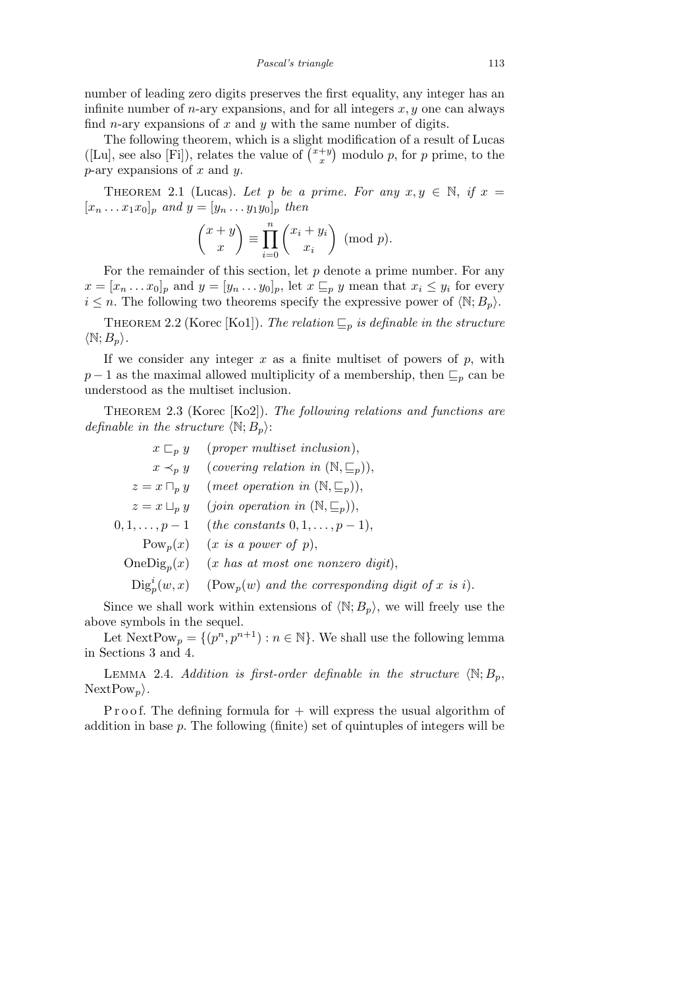number of leading zero digits preserves the first equality, any integer has an infinite number of *n*-ary expansions, and for all integers *x, y* one can always find *n*-ary expansions of *x* and *y* with the same number of digits.

The following theorem, which is a slight modification of a result of Lucas I he following theorem, which is a slight r<br>([Lu], see also [Fi]), relates the value of  $\binom{x+y}{x}$  $\binom{+y}{x}$  modulo *p*, for *p* prime, to the *p*-ary expansions of *x* and *y*.

THEOREM 2.1 (Lucas). Let p be a prime. For any  $x, y \in \mathbb{N}$ , if  $x =$  $[x_n \dots x_1 x_0]_p$  *and*  $y = [y_n \dots y_1 y_0]_p$  *then* 

$$
\binom{x+y}{x} \equiv \prod_{i=0}^{n} \binom{x_i + y_i}{x_i} \pmod{p}.
$$

For the remainder of this section, let *p* denote a prime number. For any  $x = [x_n \dots x_0]_p$  and  $y = [y_n \dots y_0]_p$ , let  $x \subseteq_p y$  mean that  $x_i \leq y_i$  for every  $i \leq n$ . The following two theorems specify the expressive power of  $\langle \mathbb{N}; B_p \rangle$ .

THEOREM 2.2 (Korec [Ko1]). *The relation*  $\mathcal{L}_p$  *is definable in the structure*  $\langle \mathbb{N}; B_p \rangle$ *.* 

If we consider any integer  $x$  as a finite multiset of powers of  $p$ , with *p* − 1 as the maximal allowed multiplicity of a membership, then  $\mathcal{L}_p$  can be understood as the multiset inclusion.

Theorem 2.3 (Korec [Ko2]). *The following relations and functions are definable in the structure*  $\langle \mathbb{N}; B_n \rangle$ :

| $(proper \; multiset \; inclusion),$                         |
|--------------------------------------------------------------|
| (covering relation in $(\mathbb{N}, \subseteq_p)$ ),         |
| (meet operation in $(\mathbb{N}, \subseteq_p)$ ),            |
| $(join operation in (\mathbb{N}, \subseteq_p)),$             |
| ( <i>the constants</i> $0, 1, \ldots, p-1$ ),                |
| $(x \text{ is a power of } p),$                              |
| $(x$ has at most one nonzero digit),                         |
| $(\mathrm{Pow}_p(w)$ and the corresponding digit of x is i). |
|                                                              |

Since we shall work within extensions of  $\langle \mathbb{N}; B_p \rangle$ , we will freely use the above symbols in the sequel.

Let  $\text{NextPow}_p = \{(p^n, p^{n+1}) : n \in \mathbb{N}\}\.$  We shall use the following lemma in Sections 3 and 4.

LEMMA 2.4. *Addition is first-order definable in the structure*  $\langle \mathbb{N}; B_n, \rangle$ NextPow<sub>p</sub> $\rangle$ *.* 

P r o o f. The defining formula for  $+$  will express the usual algorithm of addition in base *p*. The following (finite) set of quintuples of integers will be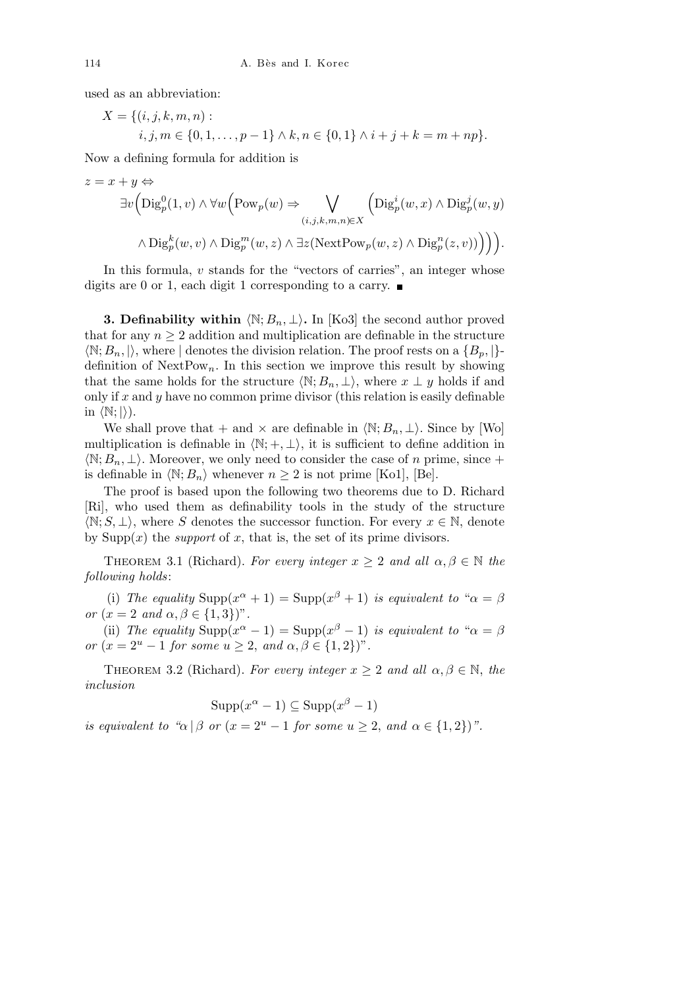used as an abbreviation:

$$
X = \{(i, j, k, m, n) :\n i, j, m \in \{0, 1, ..., p - 1\} \land k, n \in \{0, 1\} \land i + j + k = m + np\}.
$$

Now a defining formula for addition is

$$
z = x + y \Leftrightarrow
$$
  
\n
$$
\exists v \Big( \text{Diag}_p^0(1, v) \wedge \forall w \Big( \text{Pow}_p(w) \Rightarrow \bigvee_{(i,j,k,m,n) \in X} \Big( \text{Diag}_p^i(w, x) \wedge \text{Diag}_p^j(w, y) \wedge \text{Diag}_p^k(w, v) \wedge \text{Diag}_p^m(w, z) \wedge \exists z (\text{NextPow}_p(w, z) \wedge \text{Diag}_p^n(z, v)) \Big) \Big) \Big).
$$

In this formula, *v* stands for the "vectors of carries", an integer whose digits are 0 or 1, each digit 1 corresponding to a carry.  $\blacksquare$ 

**3. Definability within**  $\langle \mathbb{N}; B_n, \perp \rangle$ . In [Ko3] the second author proved that for any  $n \geq 2$  addition and multiplication are definable in the structure  $\langle \mathbb{N}; B_n, \mathbb{N} \rangle$ , where *|* denotes the division relation. The proof rests on a  $\{B_n, \mathbb{N}\}\$ definition of  $NextPow_n$ . In this section we improve this result by showing that the same holds for the structure  $\langle \mathbb{N}; B_n, \perp \rangle$ , where  $x \perp y$  holds if and only if *x* and *y* have no common prime divisor (this relation is easily definable in  $\langle \mathbb{N}; \rangle$ ).

We shall prove that + and  $\times$  are definable in  $\langle \mathbb{N}; B_n, \perp \rangle$ . Since by [Wo] multiplication is definable in  $\langle \mathbb{N}; +, \perp \rangle$ , it is sufficient to define addition in  $\langle \mathbb{N}; B_n, \perp \rangle$ . Moreover, we only need to consider the case of *n* prime, since + is definable in  $\langle \mathbb{N}; B_n \rangle$  whenever  $n \geq 2$  is not prime [Ko1], [Be].

The proof is based upon the following two theorems due to D. Richard [Ri], who used them as definability tools in the study of the structure  $\langle \mathbb{N}; S, \perp \rangle$ , where *S* denotes the successor function. For every  $x \in \mathbb{N}$ , denote by  $\text{Supp}(x)$  the *support* of x, that is, the set of its prime divisors.

THEOREM 3.1 (Richard). For every integer  $x \geq 2$  and all  $\alpha, \beta \in \mathbb{N}$  the *following holds*:

(i) The equality  $\text{Supp}(x^{\alpha} + 1) = \text{Supp}(x^{\beta} + 1)$  *is equivalent to* " $\alpha = \beta$ *or*  $(x = 2 \text{ and } \alpha, \beta \in \{1,3\})$ ".

(ii) *The equality*  $\text{Supp}(x^{\alpha} - 1) = \text{Supp}(x^{\beta} - 1)$  *is equivalent to* " $\alpha = \beta$ *or*  $(x = 2^u - 1 \text{ for some } u \geq 2, \text{ and } \alpha, \beta \in \{1, 2\}$ ".

THEOREM 3.2 (Richard). *For every integer*  $x \geq 2$  *and all*  $\alpha, \beta \in \mathbb{N}$ , *the inclusion*

$$
Supp(x^{\alpha}-1) \subseteq Supp(x^{\beta}-1)
$$

*is equivalent to "* $\alpha | \beta$  *or* ( $x = 2^u - 1$  *for some*  $u \geq 2$ , *and*  $\alpha \in \{1, 2\}$ )".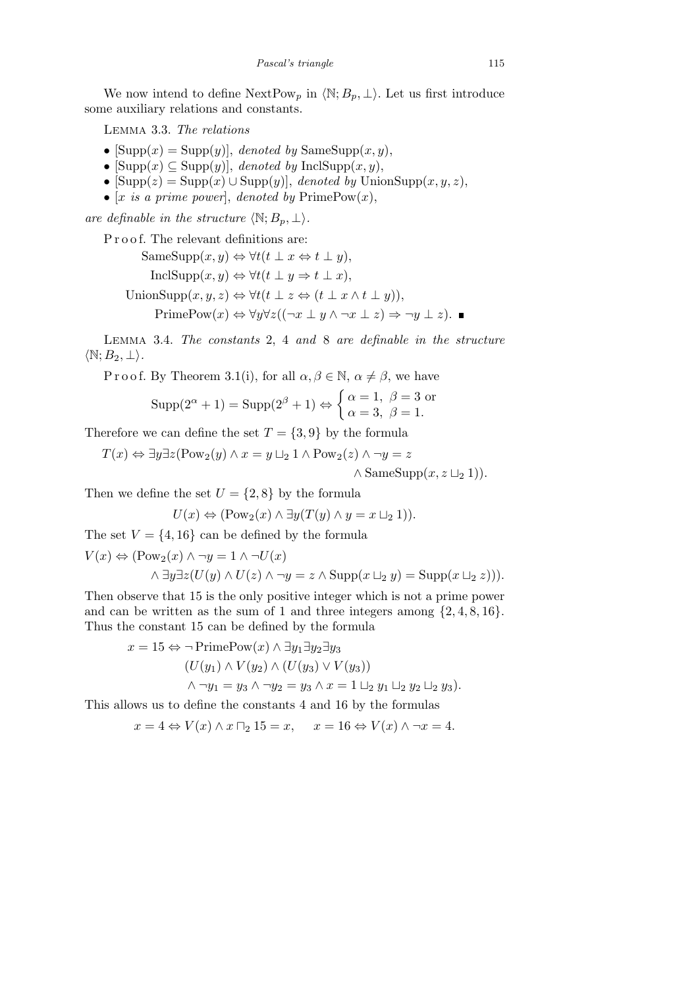We now intend to define  $\text{NextPow}_p$  in  $\langle \mathbb{N}; B_p, \perp \rangle$ . Let us first introduce some auxiliary relations and constants.

Lemma 3.3. *The relations*

- $[\text{Supp}(x) = \text{Supp}(y)],$  *denoted by*  $\text{SameSupp}(x, y),$
- $[\text{Supp}(x) \subseteq \text{Supp}(y)]$ , *denoted by*  $\text{InclSupp}(x, y)$ ,
- *•* [Supp(*z*) = Supp(*x*) *∪* Supp(*y*)], *denoted by* UnionSupp(*x, y, z*),
- $[x \text{ is a prime power}],$  *denoted by*  $\text{PrimePow}(x),$

*are definable in the structure*  $\langle \mathbb{N}; B_p, \perp \rangle$ *.* 

P r o o f. The relevant definitions are:

SameSupp(*x, y*) *⇔ ∀t*(*t ⊥ x ⇔ t ⊥ y*)*,* InclSupp(*x, y*) *⇔ ∀t*(*t ⊥ y ⇒ t ⊥ x*)*,* UnionSupp $(x, y, z) \Leftrightarrow \forall t (t \perp z \Leftrightarrow (t \perp x \wedge t \perp y)),$ PrimePow $(x) \Leftrightarrow \forall y \forall z ((\neg x \perp y \land \neg x \perp z) \Rightarrow \neg y \perp z)$ . ■

Lemma 3.4. *The constants* 2, 4 *and* 8 *are definable in the structure*  $\langle \mathbb{N}; B_2, \perp \rangle$ .

P r o o f. By Theorem 3.1(i), for all  $\alpha, \beta \in \mathbb{N}, \alpha \neq \beta$ , we have

$$
Supp(2^{\alpha} + 1) = Supp(2^{\beta} + 1) \Leftrightarrow \begin{cases} \alpha = 1, & \beta = 3 \text{ or} \\ \alpha = 3, & \beta = 1. \end{cases}
$$

Therefore we can define the set  $T = \{3, 9\}$  by the formula

 $T(x) \Leftrightarrow \exists y \exists z (Pow_2(y) \land x = y \sqcup_2 1 \land Pow_2(z) \land \neg y = z$  $\land$  SameSupp $(x, z \sqcup_2 1)$ .

Then we define the set  $U = \{2, 8\}$  by the formula

$$
U(x) \Leftrightarrow (\text{Pow}_2(x) \land \exists y (T(y) \land y = x \sqcup_2 1)).
$$

The set  $V = \{4, 16\}$  can be defined by the formula

$$
V(x) \Leftrightarrow (\text{Pow}_2(x) \land \neg y = 1 \land \neg U(x)
$$
  

$$
\land \exists y \exists z (U(y) \land U(z) \land \neg y = z \land \text{Supp}(x \sqcup_2 y) = \text{Supp}(x \sqcup_2 z))).
$$

Then observe that 15 is the only positive integer which is not a prime power and can be written as the sum of 1 and three integers among  $\{2, 4, 8, 16\}$ . Thus the constant 15 can be defined by the formula

$$
x = 15 \Leftrightarrow \neg \text{PrimePow}(x) \land \exists y_1 \exists y_2 \exists y_3
$$
  

$$
(U(y_1) \land V(y_2) \land (U(y_3) \lor V(y_3))
$$
  

$$
\land \neg y_1 = y_3 \land \neg y_2 = y_3 \land x = 1 \sqcup_2 y_1 \sqcup_2 y_2 \sqcup_2 y_3).
$$

This allows us to define the constants 4 and 16 by the formulas

 $x = 4 \Leftrightarrow V(x) \wedge x \sqcap_2 15 = x, \quad x = 16 \Leftrightarrow V(x) \wedge \neg x = 4.$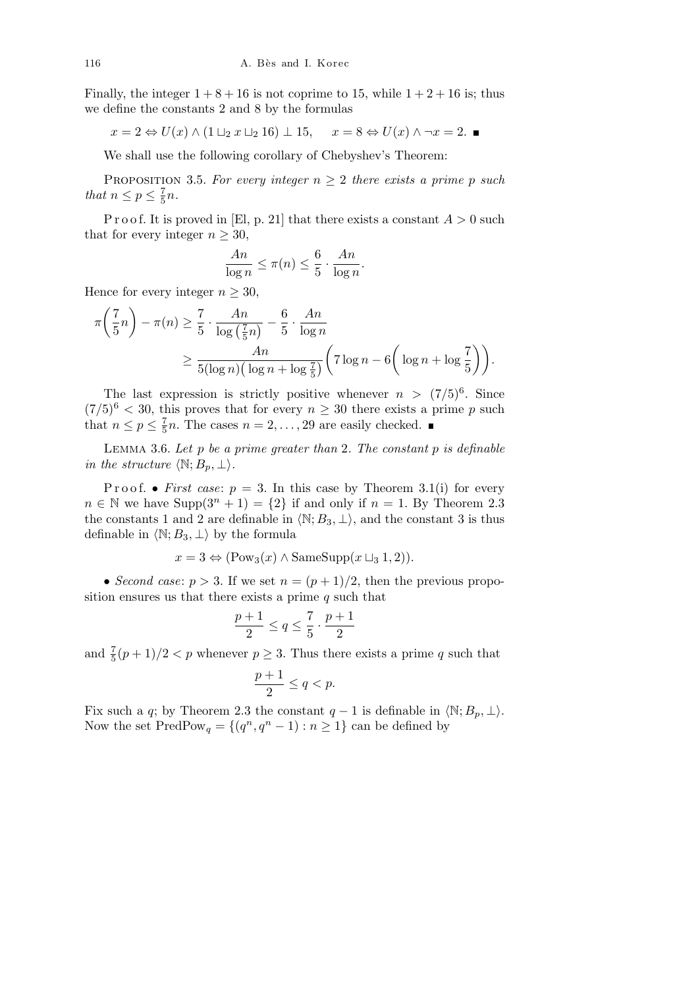Finally, the integer  $1+8+16$  is not coprime to 15, while  $1+2+16$  is; thus we define the constants 2 and 8 by the formulas

$$
x = 2 \Leftrightarrow U(x) \wedge (1 \sqcup_2 x \sqcup_2 16) \perp 15, \quad x = 8 \Leftrightarrow U(x) \wedge \neg x = 2.
$$

We shall use the following corollary of Chebyshev's Theorem:

PROPOSITION 3.5. For every integer  $n \geq 2$  there exists a prime p such *that*  $n \leq p \leq \frac{7}{5}$  $\frac{7}{5}n$ .

P r o o f. It is proved in [El, p. 21] that there exists a constant  $A > 0$  such that for every integer  $n \geq 30$ ,

$$
\frac{An}{\log n} \le \pi(n) \le \frac{6}{5} \cdot \frac{An}{\log n}
$$

*.*

Hence for every integer  $n \geq 30$ ,  $\overline{1}$  $\mathbf{r}$ 

$$
\pi\left(\frac{7}{5}n\right) - \pi(n) \ge \frac{7}{5} \cdot \frac{An}{\log\left(\frac{7}{5}n\right)} - \frac{6}{5} \cdot \frac{An}{\log n}
$$

$$
\ge \frac{An}{5(\log n)\left(\log n + \log \frac{7}{5}\right)} \left(7\log n - 6\left(\log n + \log \frac{7}{5}\right)\right).
$$

The last expression is strictly positive whenever  $n > (7/5)^6$ . Since  $(7/5)^6$  < 30, this proves that for every  $n \geq 30$  there exists a prime p such that  $n \leq p \leq \frac{7}{5}$  $\frac{7}{5}n$ . The cases  $n = 2, \ldots, 29$  are easily checked.

Lemma 3.6. *Let p be a prime greater than* 2*. The constant p is definable in the structure*  $\langle \mathbb{N}; B_p, \perp \rangle$ *.* 

Proof. • *First case*:  $p = 3$ . In this case by Theorem 3.1(i) for every  $n \in \mathbb{N}$  we have  $\text{Supp}(3^n + 1) = \{2\}$  if and only if  $n = 1$ . By Theorem 2.3 the constants 1 and 2 are definable in  $\langle \mathbb{N}; B_3, \perp \rangle$ , and the constant 3 is thus definable in  $\langle \mathbb{N}; B_3, \perp \rangle$  by the formula

$$
x = 3 \Leftrightarrow (\text{Pow}_3(x) \land \text{SameSupp}(x \sqcup_3 1, 2)).
$$

• *Second case:*  $p > 3$ . If we set  $n = (p+1)/2$ , then the previous proposition ensures us that there exists a prime *q* such that

$$
\frac{p+1}{2} \le q \le \frac{7}{5} \cdot \frac{p+1}{2}
$$

and  $\frac{7}{5}(p+1)/2 < p$  whenever  $p \geq 3$ . Thus there exists a prime q such that

$$
\frac{p+1}{2} \le q < p.
$$

Fix such a *q*; by Theorem 2.3 the constant  $q-1$  is definable in  $\langle \mathbb{N}; B_p, \perp \rangle$ . Now the set  $\text{PredPow}_q = \{(q^n, q^n - 1) : n \geq 1\}$  can be defined by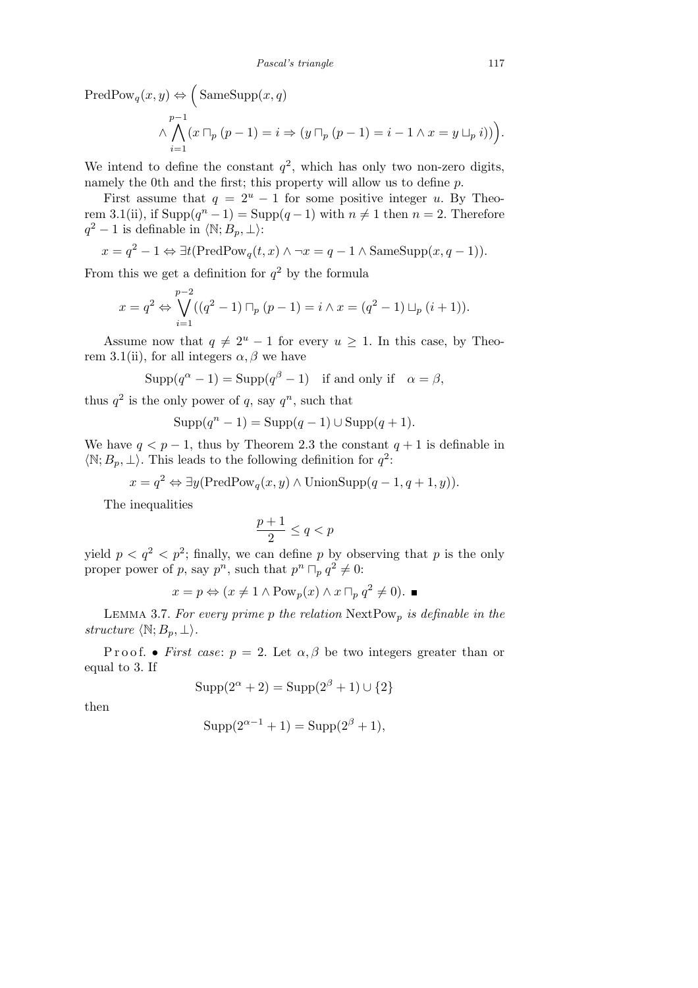$PredPow_q(x, y) \Leftrightarrow$  $\overline{\phantom{a}}$  $SameSupp(x, q)$ *∧ p* ^*<sup>−</sup>*<sup>1</sup>  $(x \sqcap_p (p-1) = i \Rightarrow (y \sqcap_p (p-1) = i - 1 \land x = y \sqcup_p i)).$ 

*i*=1

We intend to define the constant  $q^2$ , which has only two non-zero digits, namely the 0th and the first; this property will allow us to define *p*.

First assume that  $q = 2^u - 1$  for some positive integer *u*. By Theorem 3.1(ii), if  $\text{Supp}(q^n - 1) = \text{Supp}(q - 1)$  with  $n \neq 1$  then  $n = 2$ . Therefore  $q^2 - 1$  is definable in  $\langle \mathbb{N}; B_p, \perp \rangle$ :

$$
x = q^2 - 1 \Leftrightarrow \exists t (\text{PredPow}_q(t, x) \land \neg x = q - 1 \land \text{SameSupp}(x, q - 1)).
$$

From this we get a definition for  $q^2$  by the formula

$$
x = q^{2} \Leftrightarrow \bigvee_{i=1}^{p-2} ((q^{2} - 1) \sqcap_{p} (p - 1) = i \wedge x = (q^{2} - 1) \sqcup_{p} (i + 1)).
$$

Assume now that  $q \neq 2^u - 1$  for every  $u \geq 1$ . In this case, by Theorem 3.1(ii), for all integers  $\alpha$ ,  $\beta$  we have

$$
Supp(q^{\alpha}-1) = Supp(q^{\beta}-1) \text{ if and only if } \alpha = \beta,
$$

thus  $q^2$  is the only power of q, say  $q^n$ , such that

$$
Supp(q^{n}-1) = Supp(q-1) \cup Supp(q+1).
$$

We have  $q < p-1$ , thus by Theorem 2.3 the constant  $q+1$  is definable in  $\langle \mathbb{N}; B_p, \perp \rangle$ . This leads to the following definition for  $q^2$ :

$$
x = q^2 \Leftrightarrow \exists y (\text{PredPow}_q(x, y) \land \text{UnionSupp}(q-1, q+1, y)).
$$

The inequalities

$$
\frac{p+1}{2}\leq q
$$

yield  $p < q^2 < p^2$ ; finally, we can define p by observing that p is the only proper power of p, say  $p^n$ , such that  $p^n \sqcap_p q^2 \neq 0$ :

$$
x = p \Leftrightarrow (x \neq 1 \land \text{Pow}_p(x) \land x \sqcap_p q^2 \neq 0).
$$

Lemma 3.7. *For every prime p the relation* NextPow*<sup>p</sup> is definable in the structure*  $\langle \mathbb{N}; B_p, \perp \rangle$ *.* 

P r o o f. • *First case*:  $p = 2$ . Let  $\alpha, \beta$  be two integers greater than or equal to 3. If

$$
Supp(2^{\alpha} + 2) = Supp(2^{\beta} + 1) \cup \{2\}
$$

then

$$
Supp(2^{\alpha - 1} + 1) = Supp(2^{\beta} + 1),
$$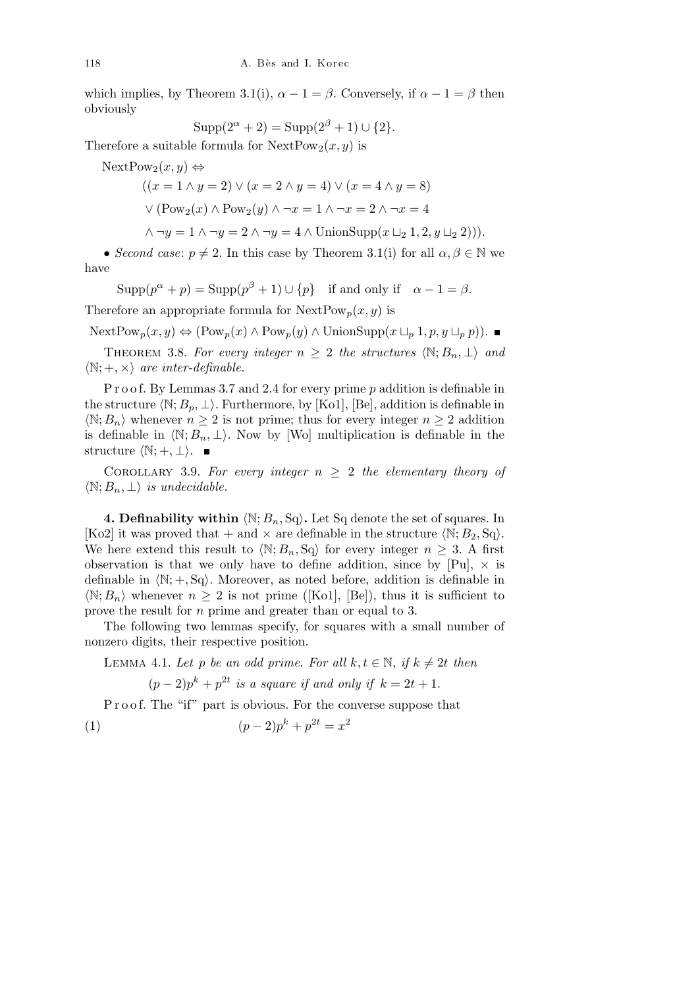which implies, by Theorem 3.1(i),  $\alpha - 1 = \beta$ . Conversely, if  $\alpha - 1 = \beta$  then obviously

$$
Supp(2^{\alpha} + 2) = Supp(2^{\beta} + 1) \cup \{2\}.
$$

Therefore a suitable formula for  $NextPow_2(x, y)$  is

NextPow<sub>2</sub> $(x, y)$  ⇔

((*x* = 1 *∧ y* = 2) *∨* (*x* = 2 *∧ y* = 4) *∨* (*x* = 4 *∧ y* = 8)

 $V(Pow_2(x) ∧ Pow_2(y) ∧ ¬x = 1 ∧ ¬x = 2 ∧ ¬x = 4$ 

$$
\wedge \neg y = 1 \wedge \neg y = 2 \wedge \neg y = 4 \wedge \text{UnionSupp}(x \sqcup_2 1, 2, y \sqcup_2 2))).
$$

• *Second case:*  $p \neq 2$ *. In this case by Theorem 3.1(i) for all*  $\alpha, \beta \in \mathbb{N}$  *we* have

 $\text{Supp}(p^{\alpha} + p) = \text{Supp}(p^{\beta} + 1) \cup \{p\}$  if and only if  $\alpha - 1 = \beta$ .

Therefore an appropriate formula for  $NextPow_p(x, y)$  is

 $\text{NextPow}_p(x, y) \Leftrightarrow (\text{Pow}_p(x) \wedge \text{Pow}_p(y) \wedge \text{UnionSupp}(x \sqcup_p 1, p, y \sqcup_p p)).$ 

THEOREM 3.8. For every integer  $n > 2$  the structures  $\langle \mathbb{N}; B_n, \perp \rangle$  and  $\langle \mathbb{N}; +, \times \rangle$  *are inter-definable.* 

P r o o f. By Lemmas 3.7 and 2.4 for every prime *p* addition is definable in the structure  $\langle \mathbb{N}; B_p, \perp \rangle$ . Furthermore, by [Ko1], [Be], addition is definable in  $\langle \mathbb{N}; B_n \rangle$  whenever  $n \geq 2$  is not prime; thus for every integer  $n \geq 2$  addition is definable in  $\langle \mathbb{N}; B_n, \perp \rangle$ . Now by *[Wo]* multiplication is definable in the structure  $\langle \mathbb{N}; +, \perp \rangle$ . ■

COROLLARY 3.9. For every integer  $n \geq 2$  the elementary theory of  $\langle \mathbb{N}; B_n, \perp \rangle$  *is undecidable.* 

**4. Definability within**  $\langle \mathbb{N}; B_n, \mathbb{S}_q \rangle$ . Let Sq denote the set of squares. In [Ko2] it was proved that  $+$  and  $\times$  are definable in the structure  $\langle \mathbb{N}; B_2, \mathbb{S}_9 \rangle$ . We here extend this result to  $\langle \mathbb{N}; B_n, \mathbb{S}_q \rangle$  for every integer  $n \geq 3$ . A first observation is that we only have to define addition, since by  $[Pu]$ ,  $\times$  is definable in  $\langle \mathbb{N}; +, \mathbb{S}_q \rangle$ . Moreover, as noted before, addition is definable in  $\langle N; B_n \rangle$  whenever  $n \geq 2$  is not prime ([Ko1], [Be]), thus it is sufficient to prove the result for *n* prime and greater than or equal to 3.

The following two lemmas specify, for squares with a small number of nonzero digits, their respective position.

LEMMA 4.1. Let *p* be an odd prime. For all  $k, t \in \mathbb{N}$ , if  $k \neq 2t$  then

 $(p-2)p^k + p^{2t}$  *is a square if and only if*  $k = 2t + 1$ *.* 

P r o o f. The "if" part is obvious. For the converse suppose that

(1) 
$$
(p-2)p^k + p^{2t} = x^2
$$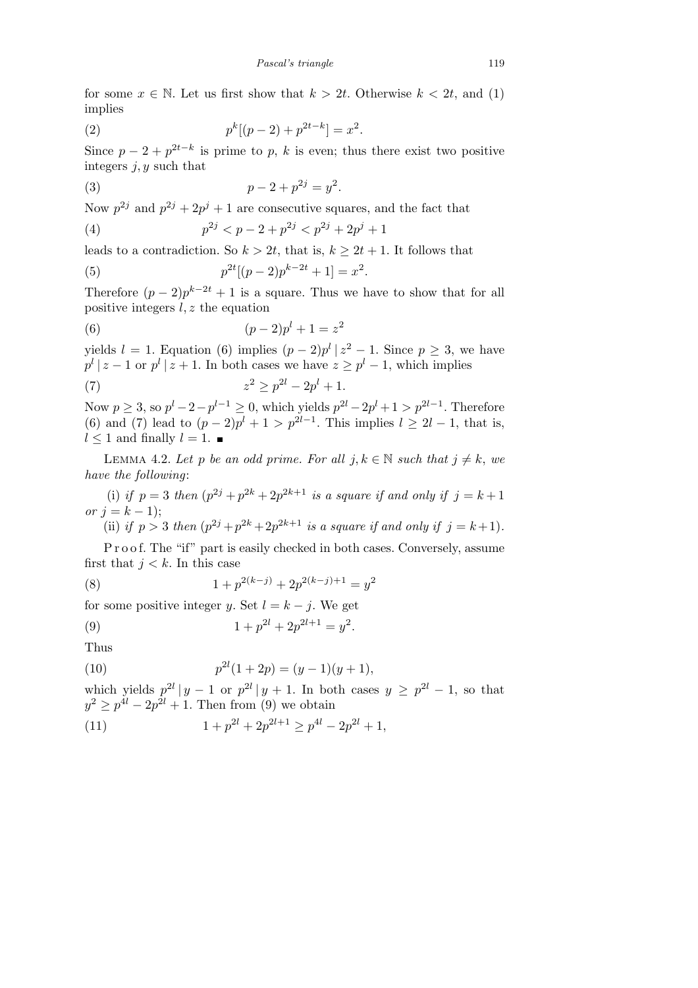for some  $x \in \mathbb{N}$ . Let us first show that  $k > 2t$ . Otherwise  $k < 2t$ , and (1) implies

(2) 
$$
p^{k}[(p-2)+p^{2t-k}] = x^{2}.
$$

Since  $p-2+p^{2t-k}$  is prime to p, k is even; thus there exist two positive integers *j, y* such that

(3) 
$$
p-2+p^{2j} = y^2.
$$

Now  $p^{2j}$  and  $p^{2j} + 2p^j + 1$  are consecutive squares, and the fact that

(4) 
$$
p^{2j} < p - 2 + p^{2j} < p^{2j} + 2p^{j} + 1
$$

leads to a contradiction. So  $k > 2t$ , that is,  $k > 2t + 1$ . It follows that

(5) 
$$
p^{2t}[(p-2)p^{k-2t}+1] = x^2.
$$

Therefore  $(p-2)p^{k-2t}+1$  is a square. Thus we have to show that for all positive integers *l, z* the equation

(6) 
$$
(p-2)p^{l} + 1 = z^{2}
$$

yields  $l = 1$ . Equation (6) implies  $(p-2)p^l | z^2 - 1$ . Since  $p \geq 3$ , we have  $p^l \mid z - 1$  or  $p^l \mid z + 1$ . In both cases we have  $z \geq p^l - 1$ , which implies

(7) 
$$
z^2 \ge p^{2l} - 2p^l + 1.
$$

Now  $p \geq 3$ , so  $p^{l} - 2 - p^{l-1} \geq 0$ , which yields  $p^{2l} - 2p^{l} + 1 > p^{2l-1}$ . Therefore (6) and (7) lead to  $(p-2)p^{l} + 1 > p^{2l-1}$ . This implies  $l \geq 2l-1$ , that is,  $l \leq 1$  and finally  $l = 1$ . ■

LEMMA 4.2. Let *p* be an odd prime. For all  $j, k \in \mathbb{N}$  such that  $j \neq k$ , we *have the following*:

(i) *if*  $p = 3$  *then*  $(p^{2j} + p^{2k} + 2p^{2k+1}$  *is a square if and only if*  $j = k + 1$ *or*  $j = k - 1$ ;

(ii) if 
$$
p > 3
$$
 then  $(p^{2j} + p^{2k} + 2p^{2k+1})$  is a square if and only if  $j = k+1$ .

P r o o f. The "if" part is easily checked in both cases. Conversely, assume first that  $j < k$ . In this case

(8) 
$$
1 + p^{2(k-j)} + 2p^{2(k-j)+1} = y^2
$$

for some positive integer *y*. Set  $l = k - j$ . We get

(9) 
$$
1 + p^{2l} + 2p^{2l+1} = y^2.
$$

Thus

(10) 
$$
p^{2l}(1+2p) = (y-1)(y+1),
$$

which yields  $p^{2l} |y-1$  or  $p^{2l} |y+1$ . In both cases  $y \geq p^{2l} - 1$ , so that  $y^2 \geq p^{4l} - 2p^{2l} + 1$ . Then from (9) we obtain

(11) 
$$
1 + p^{2l} + 2p^{2l+1} \ge p^{4l} - 2p^{2l} + 1,
$$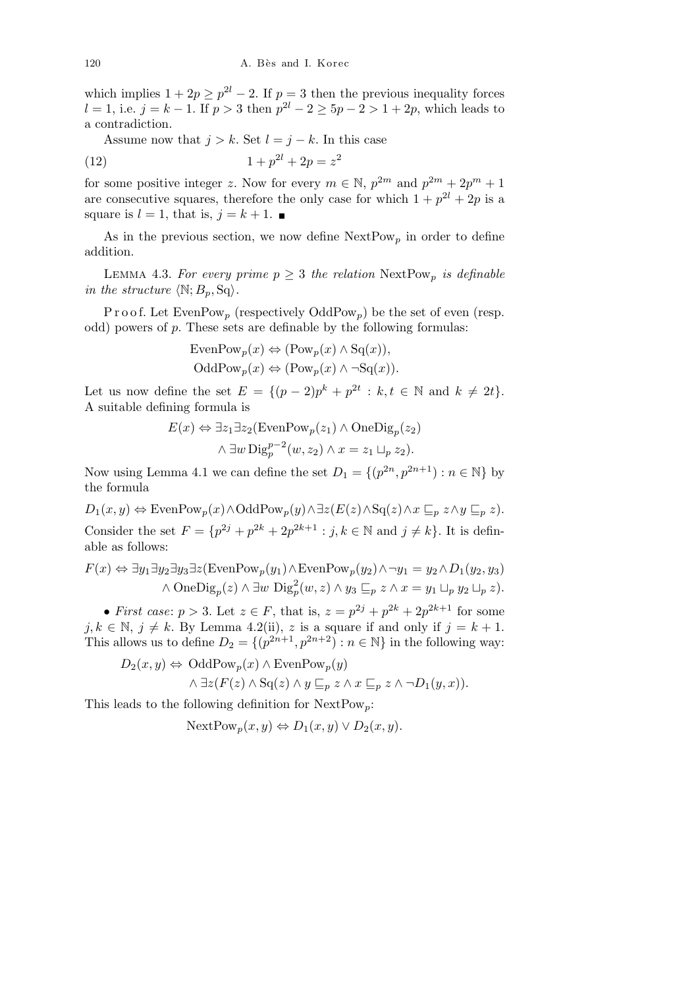which implies  $1 + 2p \geq p^{2l} - 2$ . If  $p = 3$  then the previous inequality forces *l* = 1, i.e.  $j = k - 1$ . If  $p > 3$  then  $p^{2l} - 2 \ge 5p - 2 > 1 + 2p$ , which leads to a contradiction.

Assume now that  $j > k$ . Set  $l = j - k$ . In this case

(12) 
$$
1 + p^{2l} + 2p = z^2
$$

for some positive integer *z*. Now for every  $m \in \mathbb{N}$ ,  $p^{2m}$  and  $p^{2m} + 2p^m + 1$ are consecutive squares, therefore the only case for which  $1 + p^{2l} + 2p$  is a square is  $l = 1$ , that is,  $j = k + 1$ .

As in the previous section, we now define  $NextPow_p$  in order to define addition.

LEMMA 4.3. For every prime  $p \geq 3$  the relation  $NextPow_p$  is definable *in the structure*  $\langle \mathbb{N}; B_p, \mathbb{S}q \rangle$ *.* 

P r o o f. Let  $\text{EvenPow}_p$  (respectively  $\text{OddPow}_p$ ) be the set of even (resp. odd) powers of *p*. These sets are definable by the following formulas:

Even
$$
\text{Pow}_p(x) \Leftrightarrow (\text{Pow}_p(x) \wedge \text{Sq}(x)),
$$
  
Odd $\text{Pow}_p(x) \Leftrightarrow (\text{Pow}_p(x) \wedge \neg \text{Sq}(x)).$ 

Let us now define the set  $E = \{(p-2)p^k + p^{2t} : k, t \in \mathbb{N} \text{ and } k \neq 2t\}.$ A suitable defining formula is

$$
E(x) \Leftrightarrow \exists z_1 \exists z_2 (\text{EvenPow}_p(z_1) \land \text{OneDig}_p(z_2)
$$

$$
\land \exists w \text{Dig}_p^{p-2}(w, z_2) \land x = z_1 \sqcup_p z_2).
$$

Now using Lemma 4.1 we can define the set  $D_1 = \{(p^{2n}, p^{2n+1}) : n \in \mathbb{N}\}\$  by the formula

 $D_1(x,y) \Leftrightarrow \text{EvenPow}_p(x) \wedge \text{OddPow}_p(y) \wedge \exists z (E(z) \wedge \text{Sq}(z) \wedge x \sqsubseteq_p z \wedge y \sqsubseteq_p z).$ Consider the set  $F = \{p^{2j} + p^{2k} + 2p^{2k+1} : j, k \in \mathbb{N} \text{ and } j \neq k\}$ . It is definable as follows:

$$
F(x) \Leftrightarrow \exists y_1 \exists y_2 \exists y_3 \exists z (\text{EvenPow}_p(y_1) \land \text{EvenPow}_p(y_2) \land \neg y_1 = y_2 \land D_1(y_2, y_3) \land \text{OneDi}_{g_p}(z) \land \exists w \text{ Di}_{g_p}^2(w, z) \land y_3 \sqsubseteq_p z \land x = y_1 \sqcup_p y_2 \sqcup_p z).
$$

• *First case:*  $p > 3$ . Let  $z \in F$ , that is,  $z = p^{2j} + p^{2k} + 2p^{2k+1}$  for some  $j, k \in \mathbb{N}, j \neq k$ . By Lemma 4.2(ii), *z* is a square if and only if  $j = k + 1$ . This allows us to define  $D_2 = \{(p^{2n+1}, p^{2n+2}) : n \in \mathbb{N}\}\$ in the following way:

$$
D_2(x, y) \Leftrightarrow \text{OddPow}_p(x) \land \text{EvenPow}_p(y)
$$

$$
\land \exists z (F(z) \land \text{Sq}(z) \land y \sqsubseteq_p z \land x \sqsubseteq_p z \land \neg D_1(y, x)).
$$

This leads to the following definition for NextPow*p*:

Next
$$
NextPow_p(x,y) \Leftrightarrow D_1(x,y) \vee D_2(x,y).
$$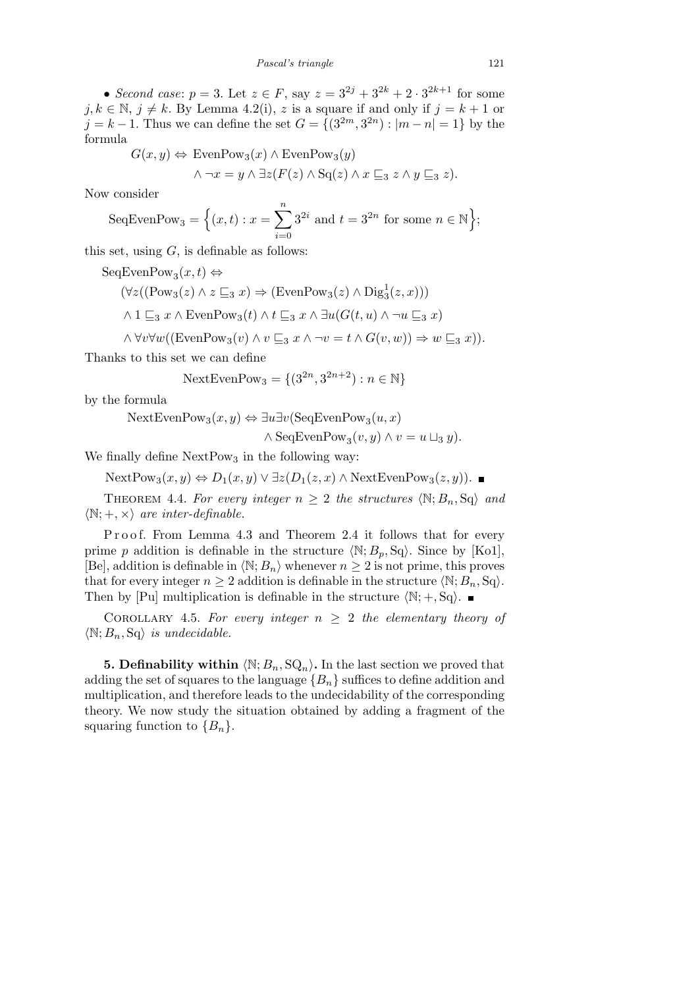• *Second case:*  $p = 3$ . Let  $z \in F$ , say  $z = 3^{2j} + 3^{2k} + 2 \cdot 3^{2k+1}$  for some *j*,  $k \in \mathbb{N}$ ,  $j \neq k$ . By Lemma 4.2(i), *z* is a square if and only if  $j = k + 1$  or *j* = *k* − 1. Thus we can define the set  $G = \{(3^{2m}, 3^{2n}) : |m - n| = 1\}$  by the formula

$$
G(x, y) \Leftrightarrow \text{EvenPow}_3(x) \wedge \text{EvenPow}_3(y)
$$

$$
\wedge \neg x = y \wedge \exists z (F(z) \wedge \text{Sq}(z) \wedge x \sqsubseteq_3 z \wedge y \sqsubseteq_3 z).
$$

Now consider

SeqEvenPow<sub>3</sub> = 
$$
\left\{ (x,t) : x = \sum_{i=0}^{n} 3^{2i}
$$
 and  $t = 3^{2n}$  for some  $n \in \mathbb{N} \right\};$ 

this set, using *G*, is definable as follows:

 $SeqEvenPow_3(x,t) \Leftrightarrow$ 

$$
(\forall z ((\text{Pow}_3(z) \land z \sqsubseteq_3 x) \Rightarrow (\text{EvenPow}_3(z) \land \text{Dig}_3^1(z, x)))
$$
  

$$
\land 1 \sqsubseteq_3 x \land \text{EvenPow}_3(t) \land t \sqsubseteq_3 x \land \exists u(G(t, u) \land \neg u \sqsubseteq_3 x)
$$

 $\land \forall v \forall w ((\text{EvenPow}_3(v) \land v \sqsubseteq_3 x \land \neg v = t \land G(v, w)) \Rightarrow w \sqsubseteq_3 x)).$ 

Thanks to this set we can define

NextEvenPow<sub>3</sub> = 
$$
\{(3^{2n}, 3^{2n+2}) : n \in \mathbb{N}\}\
$$

by the formula

 $NextEvenPow_3(x, y) \Leftrightarrow \exists u \exists v (SeqEvenPow_3(u, x))$ 

 $\wedge$  SeqEvenPow<sub>3</sub> $(v, y) \wedge v = u \sqcup_3 y$ .

We finally define  $NextPow<sub>3</sub>$  in the following way:

NextPow<sub>3</sub>(*x, y*)  $\Leftrightarrow$  *D*<sub>1</sub>(*x, y*)  $\lor$  ∃*z*(*D*<sub>1</sub>(*z, x*)  $\land$  NextEvenPow<sub>3</sub>(*z, y*)). ■

THEOREM 4.4. For every integer  $n \geq 2$  the structures  $\langle \mathbb{N}; B_n, \mathbb{S}_q \rangle$  and  $\langle \mathbb{N}; +, \times \rangle$  *are inter-definable.* 

Proof. From Lemma 4.3 and Theorem 2.4 it follows that for every prime *p* addition is definable in the structure  $\langle \mathbb{N}; B_p, \mathbb{S}_q \rangle$ . Since by [Ko1], [Be], addition is definable in  $\langle \mathbb{N}; B_n \rangle$  whenever  $n \geq 2$  is not prime, this proves that for every integer  $n \geq 2$  addition is definable in the structure  $\langle \mathbb{N}; B_n, \mathbb{S}_q \rangle$ . Then by [Pu] multiplication is definable in the structure  $\langle N; +, Sq \rangle$ .

COROLLARY 4.5. For every integer  $n \geq 2$  the elementary theory of  $\langle \mathbb{N}; B_n, \mathbb{S}_q \rangle$  *is undecidable.* 

**5. Definability within**  $\langle \mathbb{N}; B_n, \mathbb{S} \mathbb{Q}_n \rangle$ . In the last section we proved that adding the set of squares to the language *{Bn}* suffices to define addition and multiplication, and therefore leads to the undecidability of the corresponding theory. We now study the situation obtained by adding a fragment of the squaring function to  ${B_n}$ .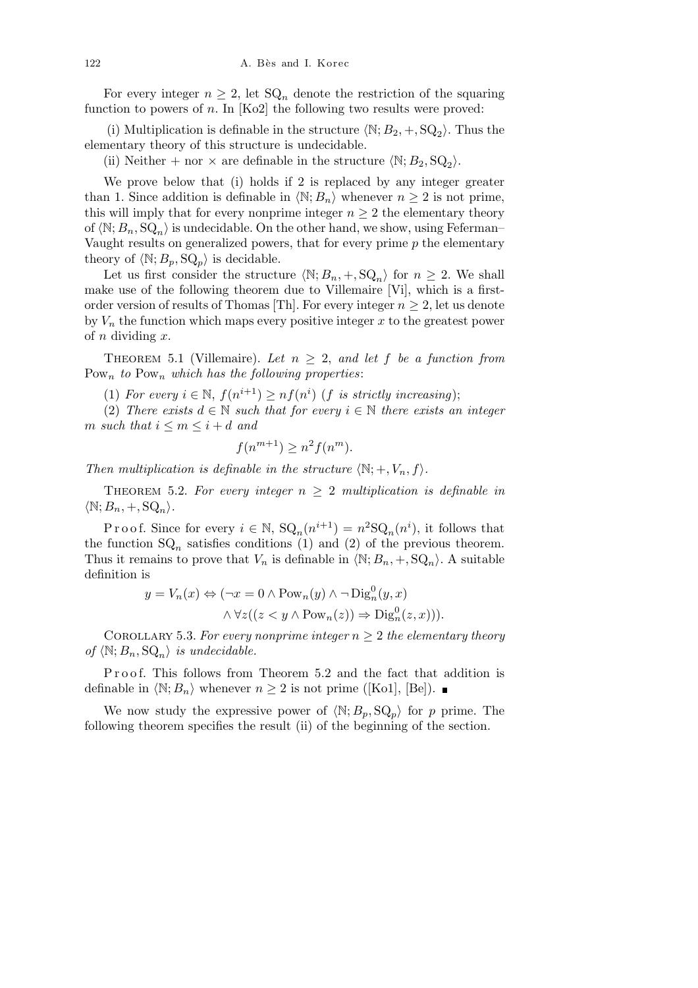For every integer  $n \geq 2$ , let  $\mathrm{SQ}_n$  denote the restriction of the squaring function to powers of *n*. In [Ko2] the following two results were proved:

(i) Multiplication is definable in the structure  $\langle \mathbb{N}; B_2, +, \mathbb{S} \mathbb{Q}_2 \rangle$ . Thus the elementary theory of this structure is undecidable.

(ii) Neither + nor  $\times$  are definable in the structure  $\langle \mathbb{N}; B_2, \mathbb{S} \mathbb{Q}_2 \rangle$ .

We prove below that (i) holds if 2 is replaced by any integer greater than 1. Since addition is definable in  $\langle \mathbb{N}; B_n \rangle$  whenever  $n \geq 2$  is not prime, this will imply that for every nonprime integer  $n \geq 2$  the elementary theory of  $\langle \mathbb{N}; B_n, \mathbb{S}Q_n \rangle$  is undecidable. On the other hand, we show, using Feferman– Vaught results on generalized powers, that for every prime *p* the elementary theory of  $\langle \mathbb{N}; B_p, \mathbb{S}\mathbb{Q}_p \rangle$  is decidable.

Let us first consider the structure  $\langle \mathbb{N}; B_n, +, \mathbb{S} \mathbb{Q}_n \rangle$  for  $n \geq 2$ . We shall make use of the following theorem due to Villemaire [Vi], which is a firstorder version of results of Thomas [Th]. For every integer  $n \geq 2$ , let us denote by  $V_n$  the function which maps every positive integer  $x$  to the greatest power of *n* dividing *x*.

THEOREM 5.1 (Villemaire). Let  $n \geq 2$ , and let f be a function from Pow*<sup>n</sup> to* Pow*<sup>n</sup> which has the following properties*:

(1) *For every*  $i \in \mathbb{N}$ ,  $f(n^{i+1}) \geq nf(n^i)$  (*f is strictly increasing*);

(2) *There exists*  $d \in \mathbb{N}$  *such that for every*  $i \in \mathbb{N}$  *there exists an integer m such that*  $i \leq m \leq i + d$  *and* 

$$
f(n^{m+1}) \ge n^2 f(n^m).
$$

*Then multiplication is definable in the structure*  $\langle \mathbb{N}; +, V_n, f \rangle$ .

THEOREM 5.2. For every integer  $n \geq 2$  multiplication is definable in  $\langle \mathbb{N}; B_n, +, \mathbb{S} \mathbb{Q}_n \rangle$ .

Proof. Since for every  $i \in \mathbb{N}$ ,  $\mathrm{SQ}_n(n^{i+1}) = n^2 \mathrm{SQ}_n(n^i)$ , it follows that the function  $SQ_n$  satisfies conditions (1) and (2) of the previous theorem. Thus it remains to prove that  $V_n$  is definable in  $\langle \mathbb{N}; B_n, +, \mathbb{S} \mathbb{Q}_n \rangle$ . A suitable definition is

$$
y = V_n(x) \Leftrightarrow (\neg x = 0 \land \text{Pow}_n(y) \land \neg \text{Diag}_n^0(y, x) \land \forall z((z < y \land \text{Pow}_n(z)) \Rightarrow \text{Diag}_n^0(z, x))).
$$

COROLLARY 5.3. For every nonprime integer  $n \geq 2$  the elementary theory of  $\langle \mathbb{N}; B_n, \mathbb{SQ}_n \rangle$  *is undecidable.* 

Proof. This follows from Theorem 5.2 and the fact that addition is definable in  $\langle \mathbb{N}; B_n \rangle$  whenever  $n \geq 2$  is not prime ([Ko1], [Be]). ■

We now study the expressive power of  $\langle \mathbb{N}; B_p, \mathbb{S} \mathbb{Q}_p \rangle$  for *p* prime. The following theorem specifies the result (ii) of the beginning of the section.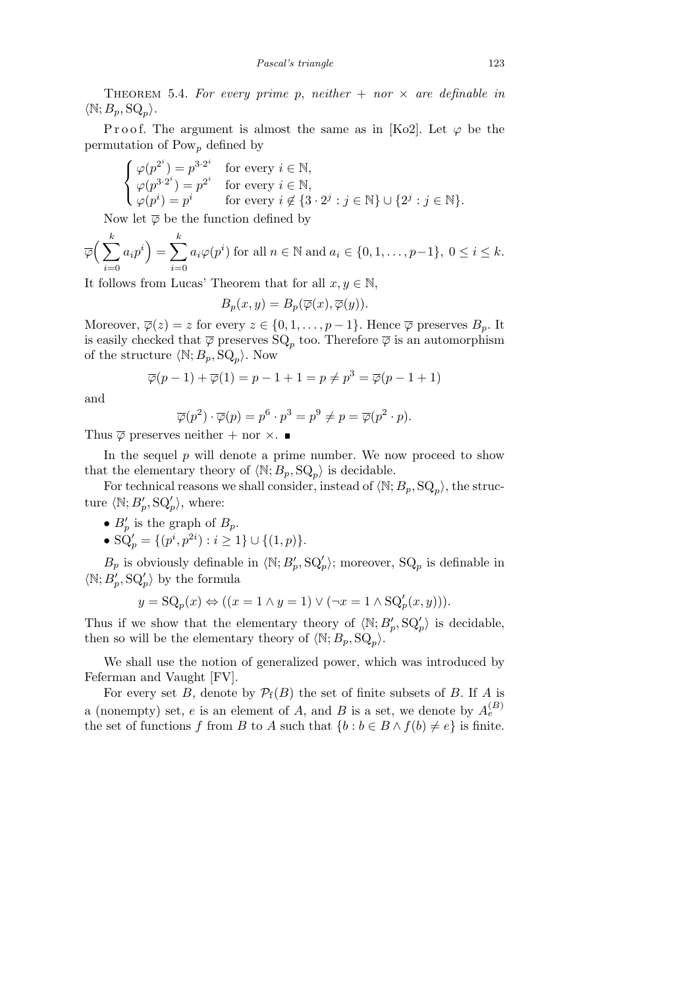THEOREM 5.4. For every prime p, neither  $+$  nor  $\times$  are definable in  $\langle \mathbb{N}; B_p, \mathbb{SQ}_p \rangle$ .

Proof. The argument is almost the same as in [Ko2]. Let  $\varphi$  be the permutation of Pow*<sup>p</sup>* defined by

$$
\begin{cases}\n\varphi(p^{2^i}) = p^{3 \cdot 2^i} & \text{for every } i \in \mathbb{N}, \\
\varphi(p^{3 \cdot 2^i}) = p^{2^i} & \text{for every } i \in \mathbb{N}, \\
\varphi(p^i) = p^i & \text{for every } i \notin \{3 \cdot 2^j : j \in \mathbb{N}\} \cup \{2^j : j \in \mathbb{N}\}.\n\end{cases}
$$
\nwhere  $\forall i \in \mathbb{N}$  and  $\forall j \in \mathbb{N}$  are the function defined by

Now let  $\overline{\varphi}$  be the function defined by

$$
\overline{\varphi}\Big(\sum_{i=0}^k a_i p^i\Big) = \sum_{i=0}^k a_i \varphi(p^i) \text{ for all } n \in \mathbb{N} \text{ and } a_i \in \{0, 1, \dots, p-1\}, \ 0 \le i \le k.
$$

It follows from Lucas' Theorem that for all  $x, y \in \mathbb{N}$ ,

$$
B_p(x, y) = B_p(\overline{\varphi}(x), \overline{\varphi}(y)).
$$

Moreover,  $\overline{\varphi}(z) = z$  for every  $z \in \{0, 1, \ldots, p-1\}$ . Hence  $\overline{\varphi}$  preserves  $B_p$ . It is easily checked that  $\overline{\varphi}$  preserves  $\mathrm{SQ}_{p}$  too. Therefore  $\overline{\varphi}$  is an automorphism of the structure  $\langle \mathbb{N}; B_p, \mathbb{SQ}_p \rangle$ . Now

$$
\overline{\varphi}(p-1) + \overline{\varphi}(1) = p - 1 + 1 = p \neq p^3 = \overline{\varphi}(p-1+1)
$$

and

$$
\overline{\varphi}(p^2) \cdot \overline{\varphi}(p) = p^6 \cdot p^3 = p^9 \neq p = \overline{\varphi}(p^2 \cdot p).
$$

Thus  $\overline{\varphi}$  preserves neither + nor  $\times$ .

In the sequel *p* will denote a prime number. We now proceed to show that the elementary theory of  $\langle \mathbb{N}; B_p, \mathbb{S}\mathbb{Q}_p \rangle$  is decidable.

For technical reasons we shall consider, instead of  $\langle N; B_p, SQ_p \rangle$ , the structure  $\langle \mathbb{N}; B'_p, \mathbb{S}\mathbb{Q}'_p \rangle$ , where:

- $B_p'$  is the graph of  $B_p$ .
- $\mathrm{SQ}_p' = \{ (p^i, p^{2i}) : i \geq 1 \} \cup \{ (1, p) \}.$

 $B_p$  is obviously definable in  $\langle \mathbb{N}; B'_p, \mathbb{S}Q'_p \rangle$ ; moreover,  $\mathbb{S}Q_p$  is definable in  $\langle \mathbb{N}; B'_{p}, \mathbf{SQ}'_{p} \rangle$  by the formula

$$
y = \mathrm{SQ}_{p}(x) \Leftrightarrow ((x = 1 \wedge y = 1) \vee (\neg x = 1 \wedge \mathrm{SQ}_{p}'(x, y))).
$$

Thus if we show that the elementary theory of  $\langle \mathbb{N}; B'_p, \mathbb{S}Q'_p \rangle$  is decidable, then so will be the elementary theory of  $\langle \mathbb{N}; B_p, \mathbb{SQ}_p \rangle$ .

We shall use the notion of generalized power, which was introduced by Feferman and Vaught [FV].

For every set *B*, denote by  $P_f(B)$  the set of finite subsets of *B*. If *A* is a (nonempty) set, *e* is an element of *A*, and *B* is a set, we denote by  $A_e^{(B)}$ the set of functions *f* from *B* to *A* such that  $\{b : b \in B \land f(b) \neq e\}$  is finite.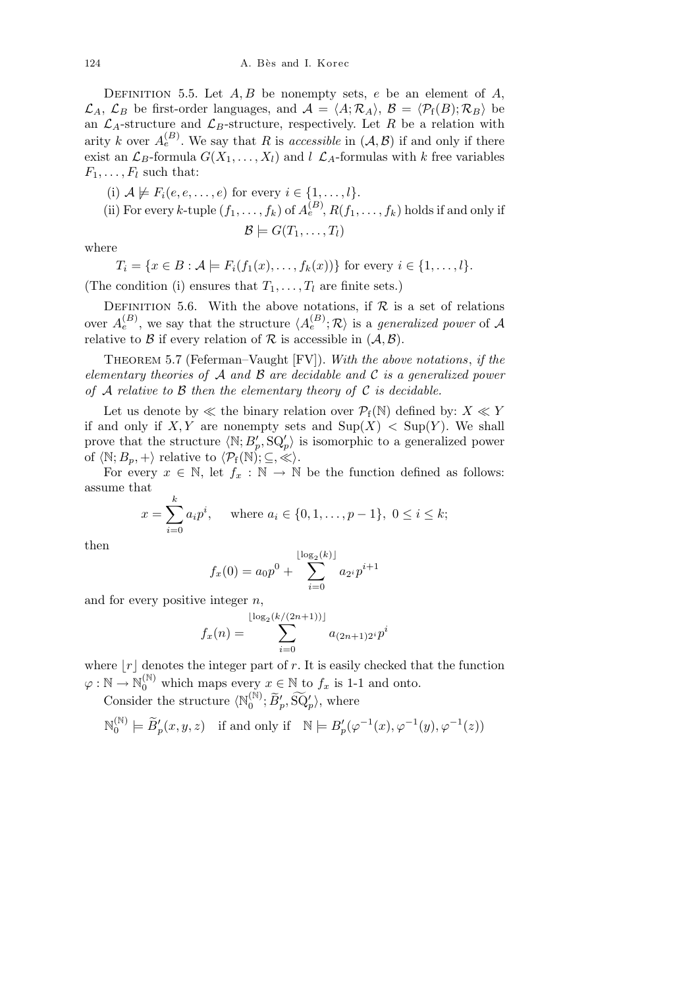DEFINITION 5.5. Let  $A, B$  be nonempty sets,  $e$  be an element of  $A$ ,  $\mathcal{L}_A$ ,  $\mathcal{L}_B$  be first-order languages, and  $\mathcal{A} = \langle A; \mathcal{R}_A \rangle$ ,  $\mathcal{B} = \langle \mathcal{P}_{f}(B); \mathcal{R}_{B} \rangle$  be an  $\mathcal{L}_A$ -structure and  $\mathcal{L}_B$ -structure, respectively. Let R be a relation with arity *k* over  $A_e^{(B)}$ . We say that *R* is *accessible* in  $(A, B)$  if and only if there exist an  $\mathcal{L}_B$ -formula  $G(X_1, \ldots, X_l)$  and  $l \mathcal{L}_A$ -formulas with  $k$  free variables  $F_1, \ldots, F_l$  such that:

(i) 
$$
A \not\models F_i(e, e, \ldots, e)
$$
 for every  $i \in \{1, \ldots, l\}$ .  
\n(ii) For every  $k$ -tuple  $(f_1, \ldots, f_k)$  of  $A_e^{(B)}$ ,  $R(f_1, \ldots, f_k)$  holds if and only if  
\n
$$
\mathcal{B} \models G(T_1, \ldots, T_l)
$$

where

 $T_i = \{x \in B : A \models F_i(f_1(x), \ldots, f_k(x))\}$  for every  $i \in \{1, \ldots, l\}$ .

(The condition (i) ensures that  $T_1, \ldots, T_l$  are finite sets.)

DEFINITION 5.6. With the above notations, if  $R$  is a set of relations over  $A_e^{(B)}$ , we say that the structure  $\langle A_e^{(B)}; \mathcal{R} \rangle$  is a *generalized power* of A relative to  $\beta$  if every relation of  $\beta$  is accessible in  $(\mathcal{A}, \mathcal{B})$ .

Theorem 5.7 (Feferman–Vaught [FV]). *With the above notations*, *if the elementary theories of A and B are decidable and C is a generalized power of A relative to B then the elementary theory of C is decidable.*

Let us denote by  $\ll$  the binary relation over  $\mathcal{P}_f(\mathbb{N})$  defined by:  $X \ll Y$ if and only if  $X, Y$  are nonempty sets and  $\text{Sup}(X) < \text{Sup}(Y)$ . We shall prove that the structure  $\langle \mathbb{N}; B'_{p}, \mathbb{S}Q'_{p} \rangle$  is isomorphic to a generalized power of  $\langle \mathbb{N}; B_p, + \rangle$  relative to  $\langle \mathcal{P}_{f}(\mathbb{N}); \subseteq, \ll \rangle$ .

For every  $x \in \mathbb{N}$ , let  $f_x : \mathbb{N} \to \mathbb{N}$  be the function defined as follows: assume that

$$
x = \sum_{i=0}^{k} a_i p^i
$$
, where  $a_i \in \{0, 1, ..., p-1\}$ ,  $0 \le i \le k$ ;

then

$$
f_x(0) = a_0 p^0 + \sum_{i=0}^{\lfloor \log_2(k) \rfloor} a_{2^i} p^{i+1}
$$

and for every positive integer *n*,

$$
f_x(n) = \sum_{i=0}^{\lfloor \log_2(k/(2n+1)) \rfloor} a_{(2n+1)2^i} p^i
$$

where  $|r|$  denotes the integer part of r. It is easily checked that the function  $\varphi : \mathbb{N} \to \mathbb{N}_0^{(\mathbb{N})}$  which maps every  $x \in \mathbb{N}$  to  $f_x$  is 1-1 and onto.

Consider the structure  $\langle \mathbb{N}_0^{(\mathbb{N})} \rangle$  $\widetilde{B}'_p$ ,  $\widetilde{SQ}'_p$ , where

$$
\mathbb{N}_0^{(\mathbb{N})} \models \widetilde{B}'_p(x, y, z) \quad \text{if and only if} \quad \mathbb{N} \models B'_p(\varphi^{-1}(x), \varphi^{-1}(y), \varphi^{-1}(z))
$$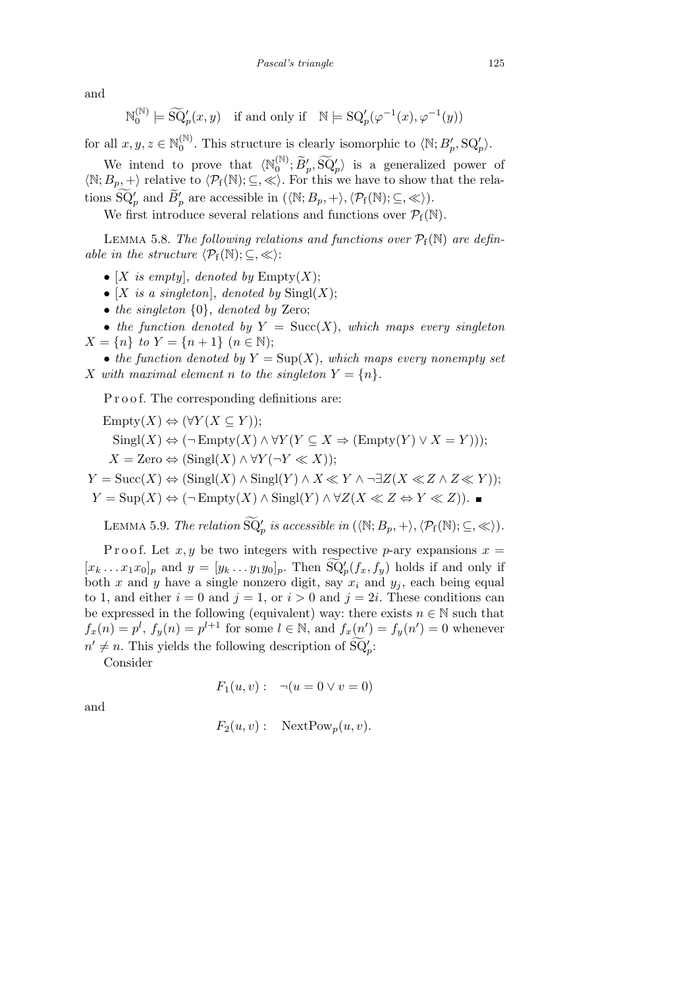and

$$
\mathbb{N}_0^{(\mathbb{N})} \models \widetilde{\mathrm{SQ}}_p'(x,y) \quad \text{if and only if} \quad \mathbb{N} \models \mathrm{SQ}_p'(\varphi^{-1}(x),\varphi^{-1}(y))
$$

for all  $x, y, z \in \mathbb{N}_0^{(\mathbb{N})}$  $\binom{\mathbb{N}}{0}$ . This structure is clearly isomorphic to  $\langle \mathbb{N}; B'_{p}, \text{SQ}'_{p} \rangle$ .

We intend to prove that  $\langle N_0^{(N)} \rangle$  $\{0\}\,0^{\mathbb{N}}\,;\,\widetilde{B}'_p,\,\widetilde{\mathrm{SQ}}'_p\}$  is a generalized power of  $\langle \mathbb{N}; B_p, + \rangle$  relative to  $\langle \mathcal{P}_{f}(\mathbb{N}); \subseteq, \ll \rangle$ . For this we have to show that the relations  $\widetilde{SQ}'_p$  and  $\widetilde{B}'_p$  are accessible in  $(\langle \mathbb{N}; B_p, + \rangle, \langle \mathcal{P}_{f}(\mathbb{N}); \subseteq, \ll \rangle).$ 

We first introduce several relations and functions over  $\mathcal{P}_f(\mathbb{N})$ .

LEMMA 5.8. The following relations and functions over  $P_f(N)$  are defin*able in the structure*  $\langle \mathcal{P}_{f}(\mathbb{N}); \subseteq, \ll \rangle$ :

- $[X$  *is empty*], *denoted by* Empty $(X)$ ;
- $[X$  *is a singleton*], *denoted by*  $\text{Singl}(X)$ ;
- *• the singleton {*0*}*, *denoted by* Zero;

• *the function denoted by*  $Y = \text{Succ}(X)$ , *which maps every singleton*  $X = \{n\}$  *to*  $Y = \{n+1\}$   $(n \in \mathbb{N});$ 

• the function denoted by  $Y = \text{Sup}(X)$ , which maps every nonempty set *X* with maximal element *n* to the singleton  $Y = \{n\}$ *.* 

P r o o f. The corresponding definitions are:

 $\text{Embtv}(X) \Leftrightarrow (\forall Y(X \subseteq Y))$ ;  $\text{Singl}(X) \Leftrightarrow (\neg \text{Empty}(X) \land \forall Y (Y \subseteq X \Rightarrow (\text{Empty}(Y) \lor X = Y))),$  $X = \text{Zero} \Leftrightarrow (\text{Sing}(X) \wedge \forall Y (\neg Y \ll X));$ 

 $Y = \text{Succ}(X) \Leftrightarrow (\text{Sing}(X) \wedge \text{Sing}(Y) \wedge X \ll Y \wedge \neg \exists Z(X \ll Z \wedge Z \ll Y));$ *Y* = Sup(*X*)  $\Leftrightarrow$  ( $\neg$ Empty(*X*)  $\land$  Singl(*Y*)  $\land$  ∀*Z*(*X*  $\ll$  *Z*  $\Leftrightarrow$  *Y*  $\ll$  *Z*)).

LEMMA 5.9. *The relation*  $\widetilde{SQ}'_p$  *is accessible in*  $(\langle \mathbb{N}; B_p, + \rangle, \langle \mathcal{P}_{f}(\mathbb{N}); \subseteq, \ll \rangle).$ 

P r o o f. Let  $x, y$  be two integers with respective *p*-ary expansions  $x =$  $[x_k \dots x_1 x_0]_p$  and  $y = [y_k \dots y_1 y_0]_p$ . Then  $\widetilde{\mathrm{SQ}}_p(f_x, f_y)$  holds if and only if both *x* and *y* have a single nonzero digit, say  $x_i$  and  $y_j$ , each being equal to 1, and either  $i = 0$  and  $j = 1$ , or  $i > 0$  and  $j = 2i$ . These conditions can be expressed in the following (equivalent) way: there exists  $n \in \mathbb{N}$  such that  $f_x(n) = p^l$ ,  $f_y(n) = p^{l+1}$  for some  $l \in \mathbb{N}$ , and  $f_x(n') = f_y(n') = 0$  whenever  $n' \neq n$ . This yields the following description of  $\widetilde{SQ}_{p}'$ :

Consider

$$
F_1(u, v) : \neg (u = 0 \lor v = 0)
$$

and

$$
F_2(u, v): \quad \text{NextPow}_p(u, v).
$$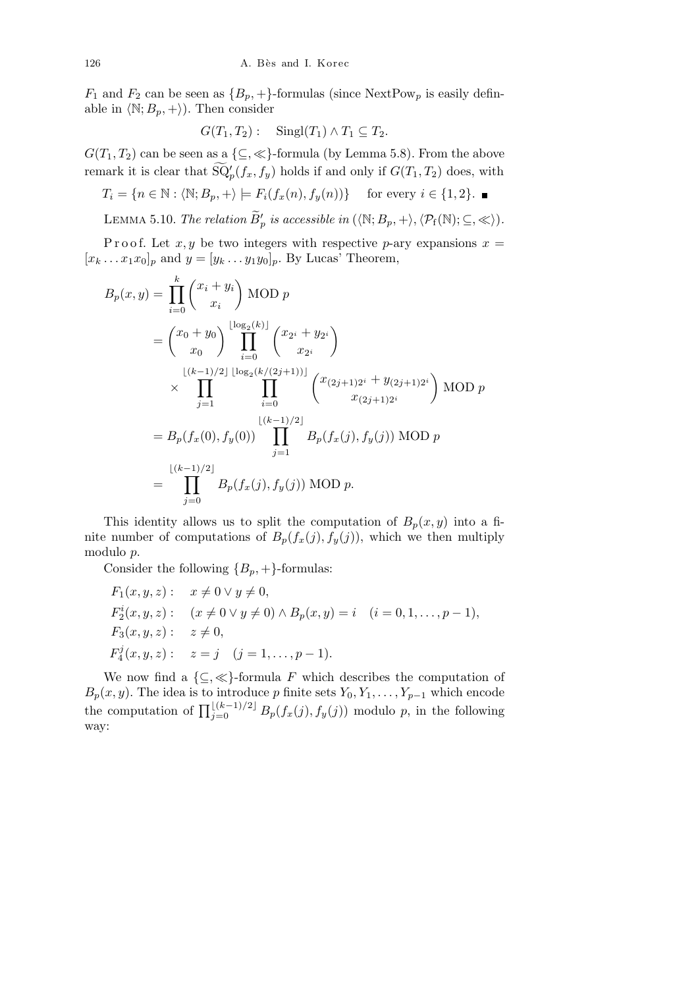$F_1$  and  $F_2$  can be seen as  ${B_p, +}$ -formulas (since NextPow<sub>p</sub> is easily definable in  $\langle \mathbb{N}; B_p, + \rangle$ ). Then consider

$$
G(T_1, T_2): \quad \text{Singl}(T_1) \wedge T_1 \subseteq T_2.
$$

 $G(T_1, T_2)$  can be seen as a  $\{\subseteq, \ll\}$ -formula (by Lemma 5.8). From the above remark it is clear that  $\widetilde{\mathrm{SQ}}_p'(f_x, f_y)$  holds if and only if  $G(T_1, T_2)$  does, with

 $T_i = \{n \in \mathbb{N} : \langle \mathbb{N}; B_p, + \rangle \models F_i(f_x(n), f_y(n))\}$  for every  $i \in \{1, 2\}$ .

LEMMA 5.10. *The relation*  $\widetilde{B}'_p$  *is accessible in*  $(\langle \mathbb{N}; B_p, + \rangle, \langle \mathcal{P}_{f}(\mathbb{N}); \subseteq, \ll \rangle).$ 

Proof. Let  $x, y$  be two integers with respective *p*-ary expansions  $x =$  $[x_k \dots x_1 x_0]_p$  and  $y = [y_k \dots y_1 y_0]_p$ . By Lucas' Theorem,

$$
B_p(x,y) = \prod_{i=0}^k {x_i + y_i \choose x_i} \text{MOD } p
$$
  
=  ${x_0 + y_0 \choose x_0} \prod_{i=0}^{\lfloor \log_2(k) \rfloor} {x_2 + y_2 \choose x_2i}$   

$$
\times \prod_{j=1}^{\lfloor (k-1)/2 \rfloor} \prod_{i=0}^{\lfloor \log_2(k/(2j+1)) \rfloor} {x_{(2j+1)2^i} + y_{(2j+1)2^i} \choose x_{(2j+1)2^i}} \text{MOD } p
$$
  
=  $B_p(f_x(0), f_y(0)) \prod_{j=1}^{\lfloor (k-1)/2 \rfloor} B_p(f_x(j), f_y(j)) \text{MOD } p$   
=  $\prod_{j=0}^{\lfloor (k-1)/2 \rfloor} B_p(f_x(j), f_y(j)) \text{MOD } p.$ 

This identity allows us to split the computation of  $B_p(x, y)$  into a finite number of computations of  $B_p(f_x(j), f_y(j))$ , which we then multiply modulo *p*.

Consider the following  ${B_p, +}$ -formulas:

$$
F_1(x, y, z): \quad x \neq 0 \lor y \neq 0,
$$
  
\n
$$
F_2^i(x, y, z): \quad (x \neq 0 \lor y \neq 0) \land B_p(x, y) = i \quad (i = 0, 1, \dots, p - 1),
$$
  
\n
$$
F_3(x, y, z): \quad z \neq 0,
$$
  
\n
$$
F_4^j(x, y, z): \quad z = j \quad (j = 1, \dots, p - 1).
$$

We now find a  $\{\subseteq,\ll\}$ -formula *F* which describes the computation of  $B_p(x, y)$ . The idea is to introduce p finite sets  $Y_0, Y_1, \ldots, Y_{p-1}$  which encode<br>the computation of  $\prod_{j=0}^{\lfloor (k-1)/2 \rfloor} B_p(f_x(j), f_y(j))$  modulo p, in the following way: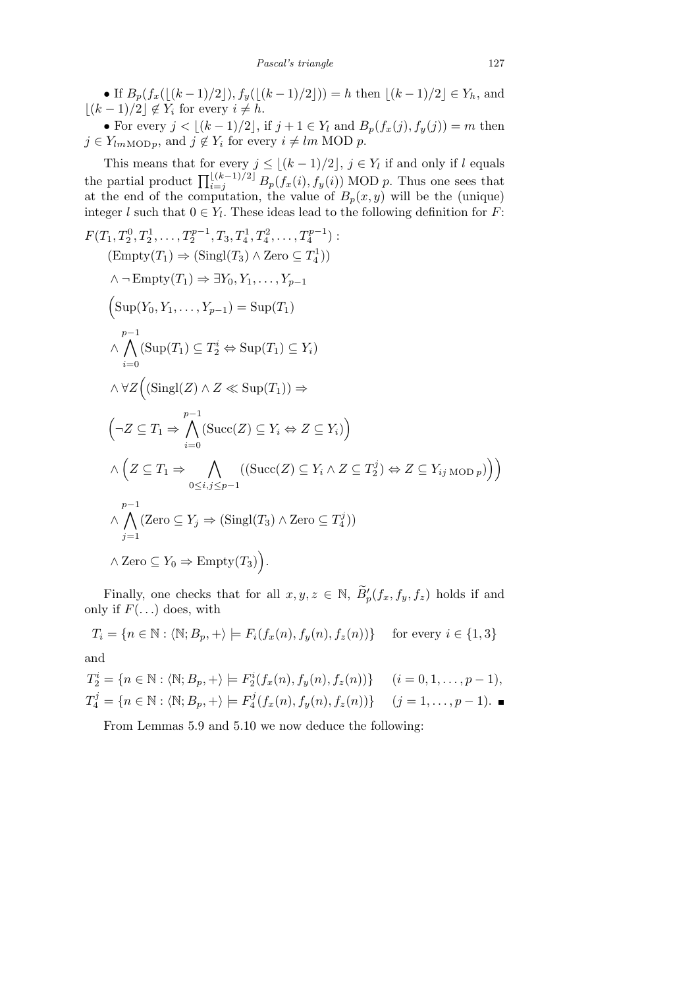• If  $B_p(f_x(\lfloor (k-1)/2 \rfloor), f_y(\lfloor (k-1)/2 \rfloor)) = h$  then  $\lfloor (k-1)/2 \rfloor \in Y_h$ , and  $\lfloor (k-1)/2 \rfloor$  ∉ *Y<sub>i</sub>* for every *i* ≠ *h*.

• For every  $j < \lfloor (k-1)/2 \rfloor$ , if  $j + 1 \in Y_l$  and  $B_p(f_x(j), f_y(j)) = m$  then  $j \in Y_{lmMODp}$ , and  $j \notin Y_i$  for every  $i \neq lm MOD p$ .

This means that for every  $j \leq \lfloor (k-1)/2 \rfloor$ ,  $j \in Y_l$  if and only if l equals<br>the partial product  $\prod_{i=j}^{\lfloor (k-1)/2 \rfloor} B_p(f_x(i), f_y(i))$  MOD p. Thus one sees that at the end of the computation, the value of  $B_p(x, y)$  will be the (unique) integer *l* such that  $0 \in Y_l$ . These ideas lead to the following definition for *F*:

$$
F(T_1, T_2^0, T_2^1, \dots, T_2^{p-1}, T_3, T_4^1, T_4^2, \dots, T_4^{p-1})
$$
  
\n
$$
(\text{Empty}(T_1) \Rightarrow (\text{Sing}(T_3) \land \text{Zero} \subseteq T_4^1))
$$
  
\n
$$
\land \neg \text{Empty}(T_1) \Rightarrow \exists Y_0, Y_1, \dots, Y_{p-1}
$$
  
\n
$$
\left(\text{Sup}(Y_0, Y_1, \dots, Y_{p-1}) = \text{Sup}(T_1)\right)
$$
  
\n
$$
\land \bigwedge_{i=0}^{p-1} (\text{Sup}(T_1) \subseteq T_2^i \Leftrightarrow \text{Sup}(T_1) \subseteq Y_i)
$$
  
\n
$$
\land \forall Z \left((\text{Sing}(Z) \land Z \ll \text{Sup}(T_1)) \Rightarrow
$$
  
\n
$$
\left(\neg Z \subseteq T_1 \Rightarrow \bigwedge_{i=0}^{p-1} (\text{Succ}(Z) \subseteq Y_i \Leftrightarrow Z \subseteq Y_i) \right)
$$
  
\n
$$
\land \left(Z \subseteq T_1 \Rightarrow \bigwedge_{0 \le i,j \le p-1} ((\text{Succ}(Z) \subseteq Y_i \land Z \subseteq T_2^j) \Leftrightarrow Z \subseteq Y_{ij \text{ MOD } p}) \right) \right)
$$
  
\n
$$
\land \bigwedge_{j=1}^{p-1} (\text{Zero} \subseteq Y_j \Rightarrow (\text{Sing}(T_3) \land \text{Zero} \subseteq T_4^j))
$$
  
\n
$$
\land \text{Zero} \subseteq Y_0 \Rightarrow \text{Empty}(T_3).
$$

Finally, one checks that for all  $x, y, z \in \mathbb{N}$ ,  $\widetilde{B}'_p(f_x, f_y, f_z)$  holds if and only if  $F(\ldots)$  does, with

$$
T_i = \{ n \in \mathbb{N} : \langle \mathbb{N}; B_p, + \rangle \models F_i(f_x(n), f_y(n), f_z(n)) \} \text{ for every } i \in \{1, 3\}
$$
  
and

$$
T_2^i = \{ n \in \mathbb{N} : \langle \mathbb{N}; B_p, + \rangle \models F_2^i(f_x(n), f_y(n), f_z(n)) \} \qquad (i = 0, 1, \dots, p - 1),
$$
  
\n
$$
T_4^j = \{ n \in \mathbb{N} : \langle \mathbb{N}; B_p, + \rangle \models F_4^j(f_x(n), f_y(n), f_z(n)) \} \qquad (j = 1, \dots, p - 1). \blacksquare
$$

From Lemmas 5.9 and 5.10 we now deduce the following: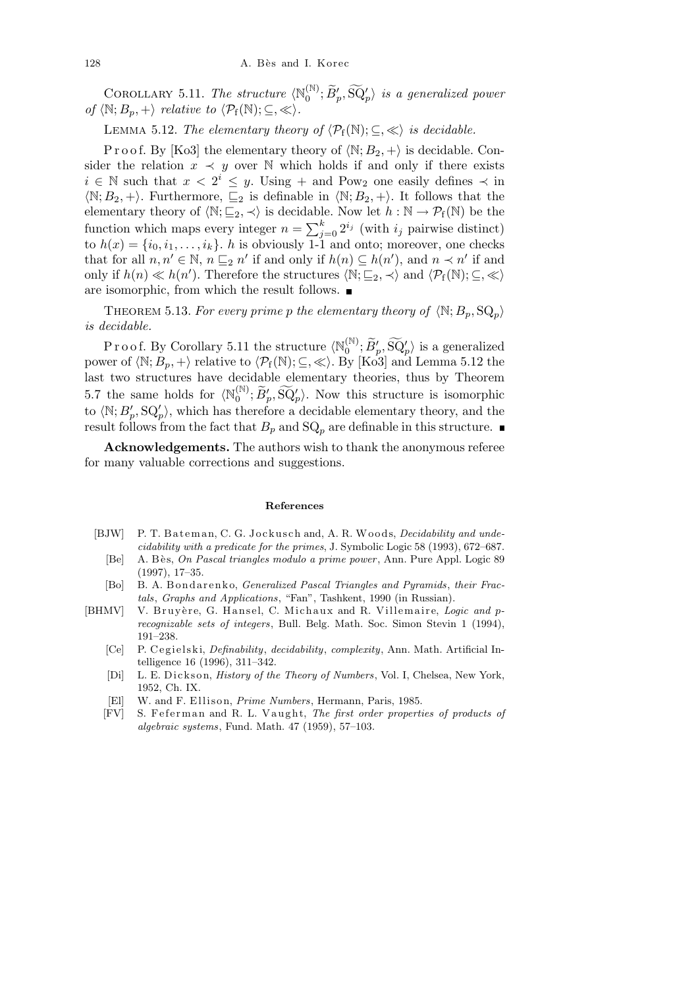COROLLARY 5.11. The structure  $\langle N_0^{(\mathbb{N})} \rangle$  $\{ \widetilde{\mathbf{B}}_p^{\prime}, \widetilde{\mathbf{B}}_p^{\prime} \}$  is a generalized power *of*  $\langle \mathbb{N}; B_p, + \rangle$  *relative to*  $\langle \mathcal{P}_{f}(\mathbb{N}); \subseteq, \ll \rangle$ .

LEMMA 5.12. *The elementary theory of*  $\langle P_f(\mathbb{N}); \subseteq, \ll \rangle$  *is decidable.* 

P r o o f. By [Ko3] the elementary theory of  $\langle \mathbb{N}; B_2, + \rangle$  is decidable. Consider the relation  $x \prec y$  over N which holds if and only if there exists *i* ∈ N such that  $x < 2^i \leq y$ . Using + and Pow<sub>2</sub> one easily defines  $\prec$  in  $\langle \mathbb{N}; B_2, + \rangle$ . Furthermore,  $\subseteq_2$  is definable in  $\langle \mathbb{N}; B_2, + \rangle$ . It follows that the elementary theory of  $\langle \mathbb{N}; \underline{\mathbb{C}}_2, \prec \rangle$  is decidable. Now let  $h : \mathbb{N} \to \mathcal{P}_{f}(\mathbb{N})$  be the function which maps every integer  $n = \sum_{i=1}^{k}$  $\sum_{j=0}^{k} 2^{i_j}$  (with  $i_j$  pairwise distinct) to  $h(x) = \{i_0, i_1, \ldots, i_k\}$ . *h* is obviously 1-1 and onto; moreover, one checks that for all  $n, n' \in \mathbb{N}$ ,  $n \sqsubseteq_2 n'$  if and only if  $h(n) \subseteq h(n')$ , and  $n \prec n'$  if and only if  $h(n) \ll h(n')$ . Therefore the structures  $\langle \mathbb{N}; \underline{\mathbb{C}}_2, \prec \rangle$  and  $\langle \mathcal{P}_{f}(\mathbb{N}); \underline{\mathbb{C}}, \ll \rangle$ are isomorphic, from which the result follows.

THEOREM 5.13. For every prime p the elementary theory of  $\langle \mathbb{N}; B_p, \mathbb{S} \mathbb{Q}_p \rangle$ *is decidable.*

P r o o f. By Corollary 5.11 the structure  $\langle \mathbb{N}_0^{(\mathbb{N})} \rangle$  $\{0^{(\mathbb{N})}\}\, \widetilde{B}'_p, \widetilde{\mathrm{SQ}}'_p\}$  is a generalized power of  $\langle \mathbb{N}; B_p, + \rangle$  relative to  $\langle \mathcal{P}_{f}(\mathbb{N}); \subseteq, \ll \rangle$ . By [Ko3] and Lemma 5.12 the last two structures have decidable elementary theories, thus by Theorem 5.7 the same holds for  $\langle \mathbb{N}_0^{(\mathbb{N})} \rangle$  $\widetilde{D}_0^{(N)}$ ;  $\widetilde{B}_p'$ ,  $\widetilde{SQ}_p'$ ). Now this structure is isomorphic to  $\langle \mathbb{N}; B'_{p}, \mathbf{S} \mathbf{Q}'_{p} \rangle$ , which has therefore a decidable elementary theory, and the result follows from the fact that  $B_p$  and  $SQ_p$  are definable in this structure.

**Acknowledgements.** The authors wish to thank the anonymous referee for many valuable corrections and suggestions.

## **References**

- [BJW] P. T. Bateman, C. G. Jockusch and, A. R. Woods, *Decidability and undecidability with a predicate for the primes*, J. Symbolic Logic 58 (1993), 672–687.
- [Be] A. B`e s, *On Pascal triangles modulo a prime power* , Ann. Pure Appl. Logic 89 (1997), 17–35.
- [Bo] B. A. Bondarenko, *Generalized Pascal Triangles and Pyramids*, *their Fractals*, *Graphs and Applications*, "Fan", Tashkent, 1990 (in Russian).
- [BHMV] V. Bruyère, G. Hansel, C. Michaux and R. Villemaire, *Logic and* p*recognizable sets of integers*, Bull. Belg. Math. Soc. Simon Stevin 1 (1994), 191–238.
	- [Ce] P. C e gi el ski, *Definability*, *decidability*, *complexity*, Ann. Math. Artificial Intelligence 16 (1996), 311–342.
	- [Di] L. E. Dickson, *History of the Theory of Numbers*, Vol. I, Chelsea, New York, 1952, Ch. IX.
	- [El] W. and F. Ellison, *Prime Numbers*, Hermann, Paris, 1985.
	- [FV] S. Feferman and R. L. Vaught, *The first order properties of products of algebraic systems*, Fund. Math. 47 (1959), 57–103.